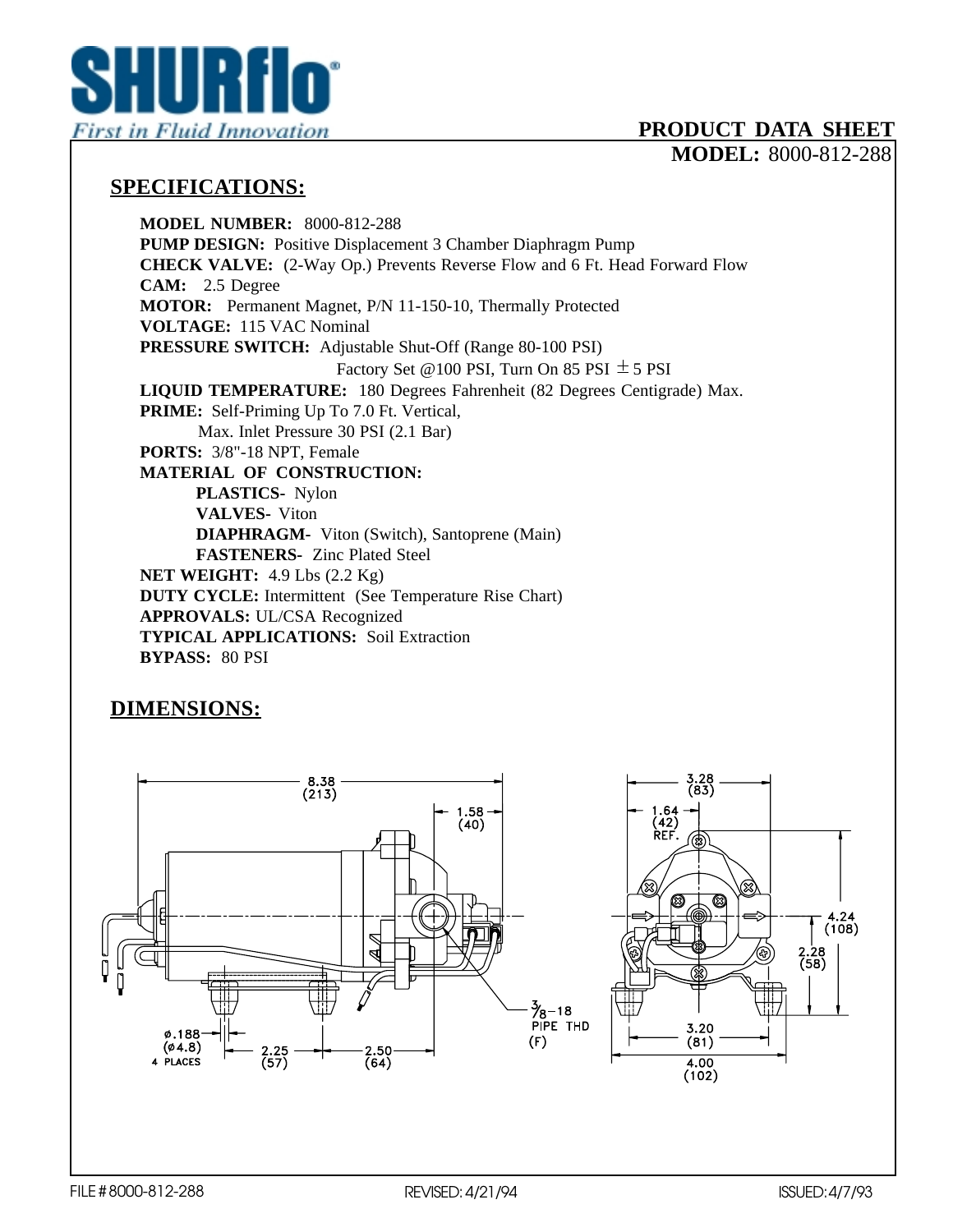

## **PRODUCT DATA SHEET**

**MODEL:** 8000-812-288

## **SPECIFICATIONS:**

**MODEL NUMBER:** 8000-812-288 **PUMP DESIGN:** Positive Displacement 3 Chamber Diaphragm Pump **CHECK VALVE:** (2-Way Op.) Prevents Reverse Flow and 6 Ft. Head Forward Flow **CAM:** 2.5 Degree **MOTOR:** Permanent Magnet, P/N 11-150-10, Thermally Protected **VOLTAGE:** 115 VAC Nominal **PRESSURE SWITCH:** Adjustable Shut-Off (Range 80-100 PSI) Factory Set @100 PSI, Turn On 85 PSI  $\pm$  5 PSI **LIQUID TEMPERATURE:** 180 Degrees Fahrenheit (82 Degrees Centigrade) Max. **PRIME:** Self-Priming Up To 7.0 Ft. Vertical, Max. Inlet Pressure 30 PSI (2.1 Bar) **PORTS:** 3/8"-18 NPT, Female **MATERIAL OF CONSTRUCTION: PLASTICS-** Nylon **VALVES-** Viton **DIAPHRAGM-** Viton (Switch), Santoprene (Main) **FASTENERS-** Zinc Plated Steel **NET WEIGHT:** 4.9 Lbs (2.2 Kg) **DUTY CYCLE:** Intermittent (See Temperature Rise Chart) **APPROVALS:** UL/CSA Recognized **TYPICAL APPLICATIONS:** Soil Extraction **BYPASS:** 80 PSI

## **DIMENSIONS:**



 $(108)$ 

2.28<br>(58)